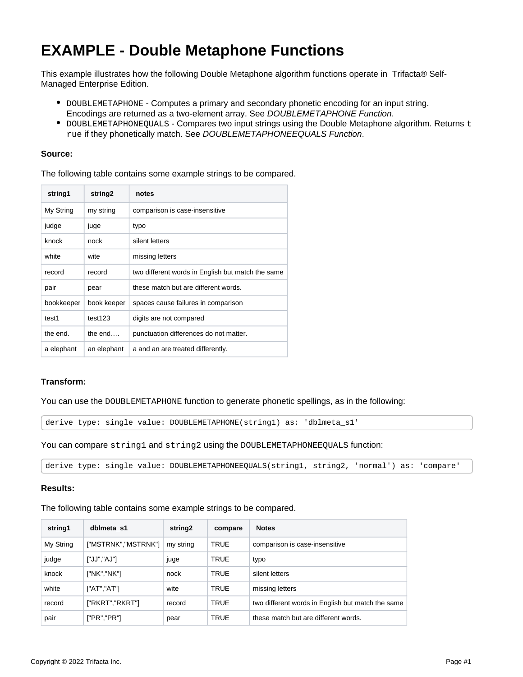## **EXAMPLE - Double Metaphone Functions**

This example illustrates how the following Double Metaphone algorithm functions operate in Trifacta® Self-Managed Enterprise Edition.

- DOUBLEMETAPHONE Computes a primary and secondary phonetic encoding for an input string. Encodings are returned as a two-element array. See [DOUBLEMETAPHONE Function](https://docs.trifacta.com/display/r064/DOUBLEMETAPHONE+Function).
- $\bullet$  DOUBLEMETAPHONEQUALS Compares two input strings using the Double Metaphone algorithm. Returns  $t$ rue if they phonetically match. See [DOUBLEMETAPHONEEQUALS Function](https://docs.trifacta.com/display/r064/DOUBLEMETAPHONEEQUALS+Function).

## **Source:**

The following table contains some example strings to be compared.

| string1    | string2     | notes                                             |  |  |
|------------|-------------|---------------------------------------------------|--|--|
| My String  | my string   | comparison is case-insensitive                    |  |  |
| judge      | juge        | typo                                              |  |  |
| knock      | nock        | silent letters                                    |  |  |
| white      | wite        | missing letters                                   |  |  |
| record     | record      | two different words in English but match the same |  |  |
| pair       | pear        | these match but are different words.              |  |  |
| bookkeeper | book keeper | spaces cause failures in comparison               |  |  |
| test1      | test123     | digits are not compared                           |  |  |
| the end.   | the $end$   | punctuation differences do not matter.            |  |  |
| a elephant | an elephant | a and an are treated differently.                 |  |  |

## **Transform:**

You can use the DOUBLEMETAPHONE function to generate phonetic spellings, as in the following:

```
derive type: single value: DOUBLEMETAPHONE(string1) as: 'dblmeta_s1'
```
You can compare string1 and string2 using the DOUBLEMETAPHONEEQUALS function:

derive type: single value: DOUBLEMETAPHONEEQUALS(string1, string2, 'normal') as: 'compare'

## **Results:**

The following table contains some example strings to be compared.

| string1   | dblmeta s1          | string <sub>2</sub> | compare     | <b>Notes</b>                                      |
|-----------|---------------------|---------------------|-------------|---------------------------------------------------|
| My String | ["MSTRNK","MSTRNK"] | my string           | <b>TRUE</b> | comparison is case-insensitive                    |
| judge     | ["JJ","AJ"]         | juge                | <b>TRUE</b> | typo                                              |
| knock     | ["NK","NK"]         | nock                | <b>TRUE</b> | silent letters                                    |
| white     | ["AT","AT"]         | wite                | <b>TRUE</b> | missing letters                                   |
| record    | ["RKRT","RKRT"]     | record              | <b>TRUE</b> | two different words in English but match the same |
| pair      | ['PR", "PR"]        | pear                | <b>TRUE</b> | these match but are different words.              |